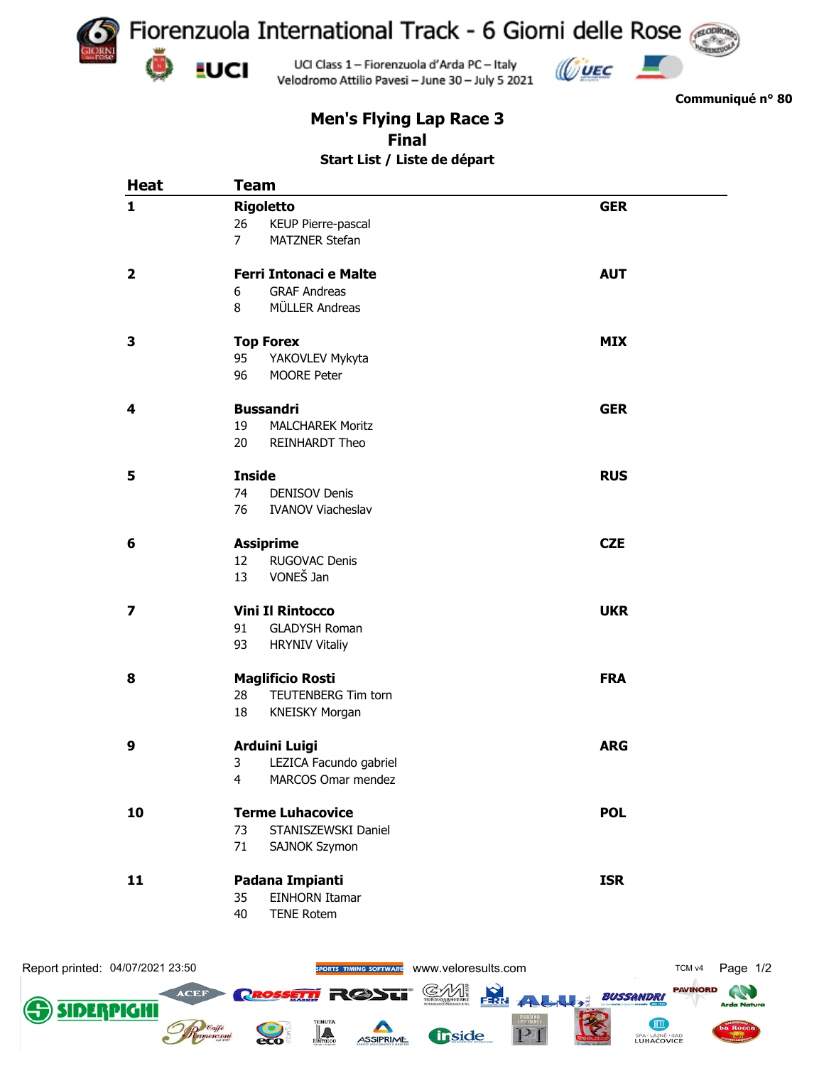

**Communiqué n° 80**

## **Men's Flying Lap Race 3 Final Start List / Liste de départ**

| <b>Heat</b>             | <b>Team</b>                             |            |
|-------------------------|-----------------------------------------|------------|
| $\mathbf{1}$            | <b>Rigoletto</b>                        | <b>GER</b> |
|                         | KEUP Pierre-pascal<br>26                |            |
|                         | $\overline{7}$<br><b>MATZNER Stefan</b> |            |
| $\overline{\mathbf{2}}$ | <b>Ferri Intonaci e Malte</b>           | <b>AUT</b> |
|                         | <b>GRAF Andreas</b><br>6                |            |
|                         | MÜLLER Andreas<br>8                     |            |
| 3                       | <b>Top Forex</b>                        | <b>MIX</b> |
|                         | YAKOVLEV Mykyta<br>95                   |            |
|                         | MOORE Peter<br>96                       |            |
| 4                       | <b>Bussandri</b>                        | <b>GER</b> |
|                         | 19<br><b>MALCHAREK Moritz</b>           |            |
|                         | 20<br>REINHARDT Theo                    |            |
| 5                       | <b>Inside</b>                           | <b>RUS</b> |
|                         | 74<br><b>DENISOV Denis</b>              |            |
|                         | 76<br><b>IVANOV Viacheslav</b>          |            |
| 6                       | <b>Assiprime</b>                        | <b>CZE</b> |
|                         | RUGOVAC Denis<br>12                     |            |
|                         | VONEŠ Jan<br>13                         |            |
| 7                       | <b>Vini Il Rintocco</b>                 | <b>UKR</b> |
|                         | 91<br><b>GLADYSH Roman</b>              |            |
|                         | 93<br><b>HRYNIV Vitaliy</b>             |            |
| 8                       | <b>Maglificio Rosti</b>                 | <b>FRA</b> |
|                         | TEUTENBERG Tim torn<br>28               |            |
|                         | 18<br><b>KNEISKY Morgan</b>             |            |
| 9                       | <b>Arduini Luigi</b>                    | <b>ARG</b> |
|                         | LEZICA Facundo gabriel<br>3             |            |
|                         | MARCOS Omar mendez<br>$\overline{4}$    |            |
| 10                      | <b>Terme Luhacovice</b>                 | <b>POL</b> |
|                         | STANISZEWSKI Daniel<br>73               |            |
|                         | 71<br>SAJNOK Szymon                     |            |
| 11                      | Padana Impianti                         | <b>ISR</b> |
|                         | <b>EINHORN Itamar</b><br>35             |            |
|                         | 40<br><b>TENE Rotem</b>                 |            |
|                         |                                         |            |
|                         |                                         |            |